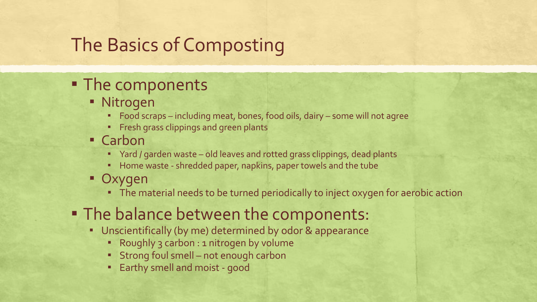## The Basics of Composting

- The components
	- **· Nitrogen** 
		- Food scraps including meat, bones, food oils, dairy some will not agree
		- **•** Fresh grass clippings and green plants
	- Carbon
		- Yard / garden waste old leaves and rotted grass clippings, dead plants
		- Home waste shredded paper, napkins, paper towels and the tube
	- Oxygen
		- **•** The material needs to be turned periodically to inject oxygen for aerobic action
- **The balance between the components:** 
	- **E** Unscientifically (by me) determined by odor & appearance
		- Roughly 3 carbon : 1 nitrogen by volume
		- Strong foul smell not enough carbon
		- Earthy smell and moist good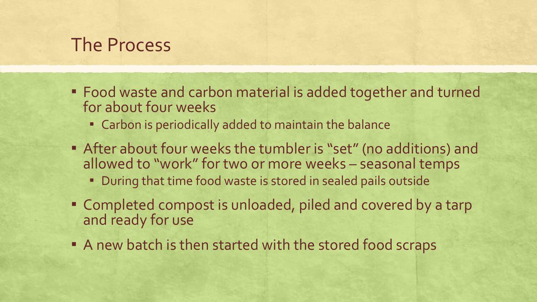## The Process

- Food waste and carbon material is added together and turned for about four weeks
	- **Carbon is periodically added to maintain the balance**
- **EXTER 1** After about four weeks the tumbler is "set" (no additions) and allowed to "work" for two or more weeks – seasonal temps
	- **During that time food waste is stored in sealed pails outside**
- Completed compost is unloaded, piled and covered by a tarp and ready for use
- **A new batch is then started with the stored food scraps**